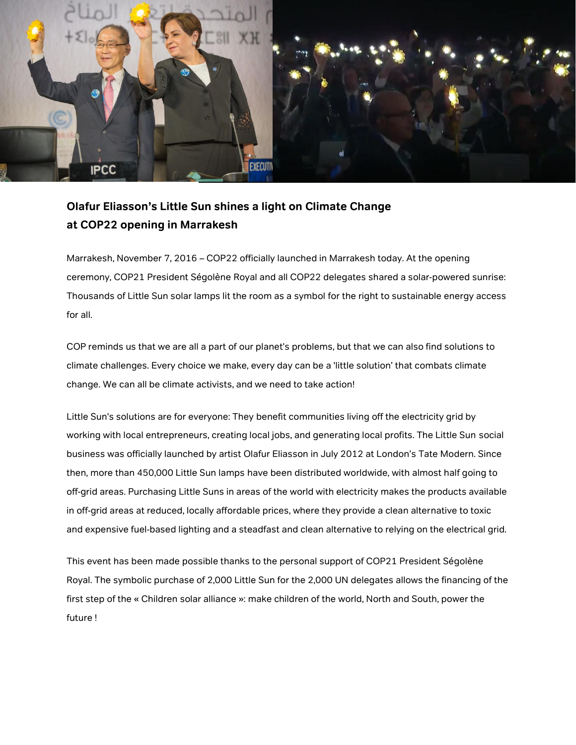

## **Olafur Eliasson's Little Sun shines a light on Climate Change at COP22 opening in Marrakesh**

Marrakesh, November 7, 2016 – COP22 officially launched in Marrakesh today. At the opening ceremony, COP21 President Ségolène Royal and all COP22 delegates shared a solar-powered sunrise: Thousands of Little Sun solar lamps lit the room as a symbol for the right to sustainable energy access for all.

COP reminds us that we are all a part of our planet's problems, but that we can also find solutions to climate challenges. Every choice we make, every day can be a 'little solution' that combats climate change. We can all be climate activists, and we need to take action!

Little Sun's solutions are for everyone: They benefit communities living off the electricity grid by working with local entrepreneurs, creating local jobs, and generating local profits. The Little Sun social business was officially launched by artist Olafur Eliasson in July 2012 at London's Tate Modern. Since then, more than 450,000 Little Sun lamps have been distributed worldwide, with almost half going to off-grid areas. Purchasing Little Suns in areas of the world with electricity makes the products available in off-grid areas at reduced, locally affordable prices, where they provide a clean alternative to toxic and expensive fuel-based lighting and a steadfast and clean alternative to relying on the electrical grid.

This event has been made possible thanks to the personal support of COP21 President Ségolène Royal. The symbolic purchase of 2,000 Little Sun for the 2,000 UN delegates allows the financing of the first step of the « Children solar alliance »: make children of the world, North and South, power the future !